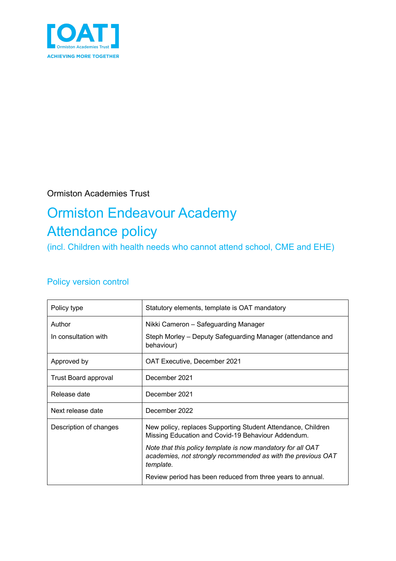

Ormiston Academies Trust

# Ormiston Endeavour Academy Attendance policy

(incl. Children with health needs who cannot attend school, CME and EHE)

### Policy version control

| Policy type                 | Statutory elements, template is OAT mandatory                                                                                            |  |
|-----------------------------|------------------------------------------------------------------------------------------------------------------------------------------|--|
| Author                      | Nikki Cameron - Safeguarding Manager                                                                                                     |  |
| In consultation with        | Steph Morley – Deputy Safeguarding Manager (attendance and<br>behaviour)                                                                 |  |
| Approved by                 | OAT Executive, December 2021                                                                                                             |  |
| <b>Trust Board approval</b> | December 2021                                                                                                                            |  |
| Release date                | December 2021                                                                                                                            |  |
| Next release date           | December 2022                                                                                                                            |  |
| Description of changes      | New policy, replaces Supporting Student Attendance, Children<br>Missing Education and Covid-19 Behaviour Addendum.                       |  |
|                             | Note that this policy template is now mandatory for all OAT<br>academies, not strongly recommended as with the previous OAT<br>template. |  |
|                             | Review period has been reduced from three years to annual.                                                                               |  |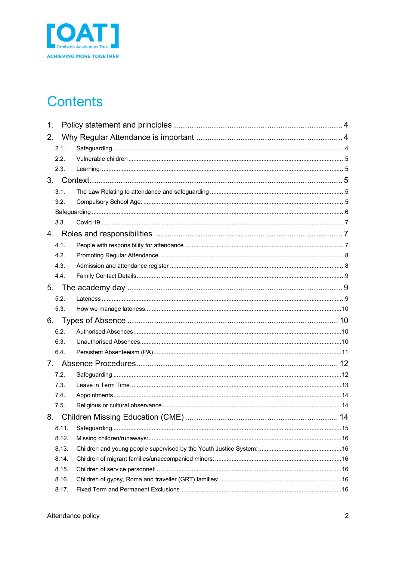

## **Contents**

| 1.   |       |  |
|------|-------|--|
| 2.   |       |  |
| 2.1. |       |  |
| 2.2. |       |  |
| 2.3. |       |  |
|      |       |  |
|      | 3.1.  |  |
| 3.2. |       |  |
|      |       |  |
|      | 3.3.  |  |
|      |       |  |
| 4.1. |       |  |
| 4.2. |       |  |
| 4.3. |       |  |
| 4.4. |       |  |
|      |       |  |
| 5.2. |       |  |
| 5.3. |       |  |
| 6.   |       |  |
| 6.2. |       |  |
| 6.3. |       |  |
| 6.4. |       |  |
|      |       |  |
| 7.2. |       |  |
| 7.3. |       |  |
| 7.4. |       |  |
| 7.5. |       |  |
|      |       |  |
|      | 8.11. |  |
|      | 8.12. |  |
|      | 8.13. |  |
|      | 8.14. |  |
|      | 8.15. |  |
|      | 8.16. |  |
|      | 8.17. |  |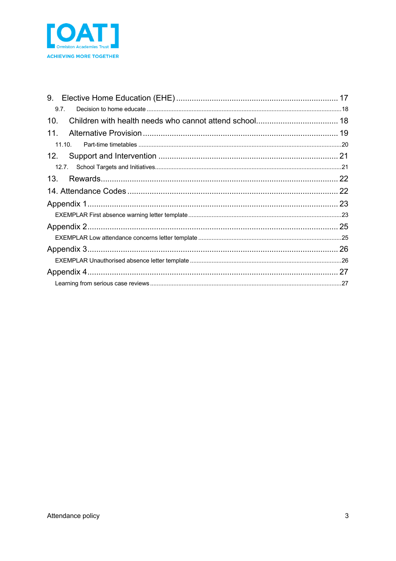

| 9.     |  |
|--------|--|
| 9.7.   |  |
| 10.    |  |
| 11.    |  |
| 11.10. |  |
|        |  |
| 12.7.  |  |
| 13.    |  |
|        |  |
|        |  |
|        |  |
|        |  |
|        |  |
|        |  |
|        |  |
|        |  |
|        |  |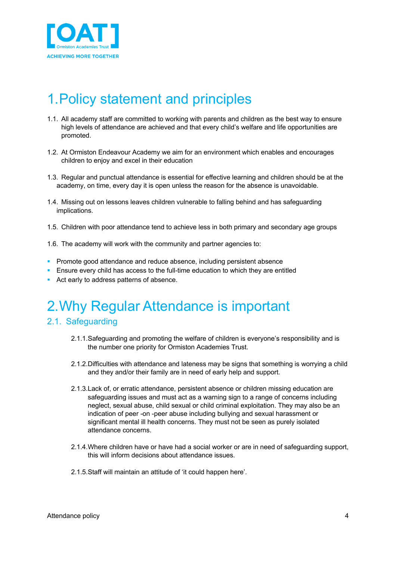

# 1.Policy statement and principles

- 1.1. All academy staff are committed to working with parents and children as the best way to ensure high levels of attendance are achieved and that every child's welfare and life opportunities are promoted.
- 1.2. At Ormiston Endeavour Academy we aim for an environment which enables and encourages children to enjoy and excel in their education
- 1.3. Regular and punctual attendance is essential for effective learning and children should be at the academy, on time, every day it is open unless the reason for the absence is unavoidable.
- 1.4. Missing out on lessons leaves children vulnerable to falling behind and has safeguarding implications.
- 1.5. Children with poor attendance tend to achieve less in both primary and secondary age groups
- 1.6. The academy will work with the community and partner agencies to:
- § Promote good attendance and reduce absence, including persistent absence
- **E** Ensure every child has access to the full-time education to which they are entitled
- Act early to address patterns of absence.

## 2.Why Regular Attendance is important

### 2.1. Safeguarding

- 2.1.1.Safeguarding and promoting the welfare of children is everyone's responsibility and is the number one priority for Ormiston Academies Trust.
- 2.1.2.Difficulties with attendance and lateness may be signs that something is worrying a child and they and/or their family are in need of early help and support.
- 2.1.3.Lack of, or erratic attendance, persistent absence or children missing education are safeguarding issues and must act as a warning sign to a range of concerns including neglect, sexual abuse, child sexual or child criminal exploitation. They may also be an indication of peer -on -peer abuse including bullying and sexual harassment or significant mental ill health concerns. They must not be seen as purely isolated attendance concerns.
- 2.1.4.Where children have or have had a social worker or are in need of safeguarding support, this will inform decisions about attendance issues.
- 2.1.5.Staff will maintain an attitude of 'it could happen here'.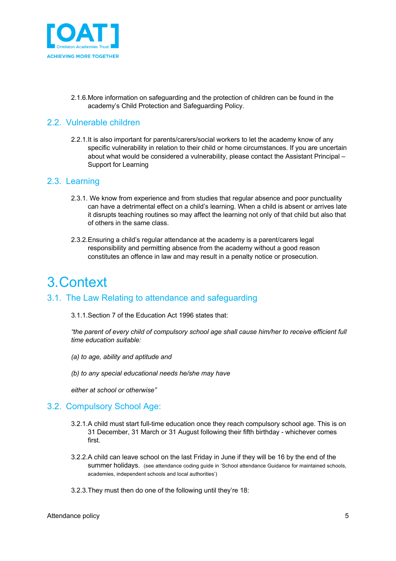

2.1.6.More information on safeguarding and the protection of children can be found in the academy's Child Protection and Safeguarding Policy.

### 2.2. Vulnerable children

2.2.1.It is also important for parents/carers/social workers to let the academy know of any specific vulnerability in relation to their child or home circumstances. If you are uncertain about what would be considered a vulnerability, please contact the Assistant Principal – Support for Learning

#### 2.3. Learning

- 2.3.1. We know from experience and from studies that regular absence and poor punctuality can have a detrimental effect on a child's learning. When a child is absent or arrives late it disrupts teaching routines so may affect the learning not only of that child but also that of others in the same class.
- 2.3.2.Ensuring a child's regular attendance at the academy is a parent/carers legal responsibility and permitting absence from the academy without a good reason constitutes an offence in law and may result in a penalty notice or prosecution.

## 3.Context

### 3.1. The Law Relating to attendance and safeguarding

3.1.1.Section 7 of the Education Act 1996 states that:

*"the parent of every child of compulsory school age shall cause him/her to receive efficient full time education suitable:*

- *(a) to age, ability and aptitude and*
- *(b) to any special educational needs he/she may have*

*either at school or otherwise"*

#### 3.2. Compulsory School Age:

- 3.2.1.A child must start full-time education once they reach compulsory school age. This is on 31 December, 31 March or 31 August following their fifth birthday - whichever comes first.
- 3.2.2.A child can leave school on the last Friday in June if they will be 16 by the end of the summer holidays. (see attendance coding quide in 'School attendance Guidance for maintained schools, academies, independent schools and local authorities')
- 3.2.3.They must then do one of the following until they're 18: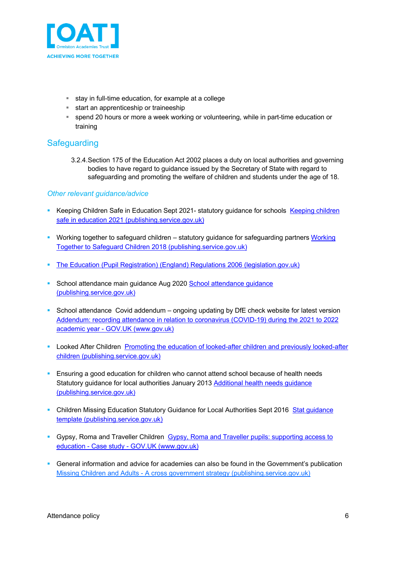

- stay in full-time education, for example at a college
- start an apprenticeship or traineeship
- spend 20 hours or more a week working or volunteering, while in part-time education or training

### **Safeguarding**

3.2.4.Section 175 of the Education Act 2002 places a duty on local authorities and governing bodies to have regard to guidance issued by the Secretary of State with regard to safeguarding and promoting the welfare of children and students under the age of 18.

#### *Other relevant guidance/advice*

- Keeping Children Safe in Education Sept 2021- statutory guidance for schools Keeping children safe in education 2021 (publishing.service.gov.uk)
- Working together to safeguard children statutory guidance for safeguarding partners Working Together to Safeguard Children 2018 (publishing.service.gov.uk)
- § The Education (Pupil Registration) (England) Regulations 2006 (legislation.gov.uk)
- School attendance main guidance Aug 2020 School attendance guidance (publishing.service.gov.uk)
- § School attendance Covid addendum ongoing updating by DfE check website for latest version Addendum: recording attendance in relation to coronavirus (COVID-19) during the 2021 to 2022 academic year - GOV.UK (www.gov.uk)
- Looked After Children Promoting the education of looked-after children and previously looked-after children (publishing.service.gov.uk)
- § Ensuring a good education for children who cannot attend school because of health needs Statutory guidance for local authorities January 2013 Additional health needs guidance (publishing.service.gov.uk)
- Children Missing Education Statutory Guidance for Local Authorities Sept 2016 Stat guidance template (publishing.service.gov.uk)
- § Gypsy, Roma and Traveller Children Gypsy, Roma and Traveller pupils: supporting access to education - Case study - GOV.UK (www.gov.uk)
- General information and advice for academies can also be found in the Government's publication Missing Children and Adults - A cross government strategy (publishing.service.gov.uk)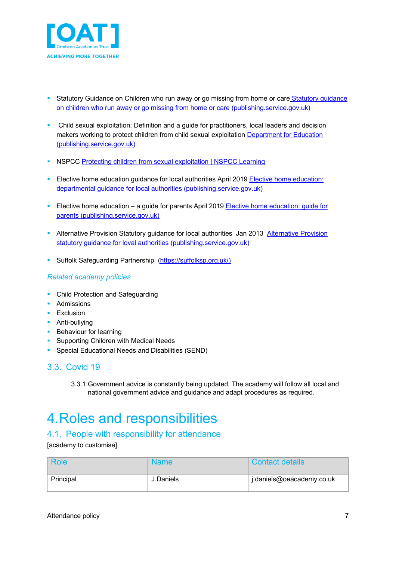

- Statutory Guidance on Children who run away or go missing from home or care Statutory guidance on children who run away or go missing from home or care (publishing.service.gov.uk)
- Child sexual exploitation: Definition and a guide for practitioners, local leaders and decision makers working to protect children from child sexual exploitation Department for Education (publishing.service.gov.uk)
- NSPCC Protecting children from sexual exploitation | NSPCC Learning
- **Elective home education guidance for local authorities April 2019 Elective home education:** departmental guidance for local authorities (publishing.service.gov.uk)
- **Elective home education a guide for parents April 2019 Elective home education: guide for** parents (publishing.service.gov.uk)
- Alternative Provision Statutory quidance for local authorities Jan 2013 Alternative Provision statutory guidance for loval authorities (publishing.service.gov.uk)
- § Suffolk Safeguarding Partnership (https://suffolksp.org.uk/)

#### *Related academy policies*

- Child Protection and Safeguarding
- Admissions
- Exclusion
- Anti-bullying
- **Behaviour for learning**
- Supporting Children with Medical Needs
- Special Educational Needs and Disabilities (SEND)

### 3.3. Covid 19

3.3.1.Government advice is constantly being updated. The academy will follow all local and national government advice and guidance and adapt procedures as required.

## 4.Roles and responsibilities

### 4.1. People with responsibility for attendance

#### [academy to customise]

| Role      | <b>Name</b> | <b>Contact details</b>    |
|-----------|-------------|---------------------------|
| Principal | J.Daniels   | j.daniels@oeacademy.co.uk |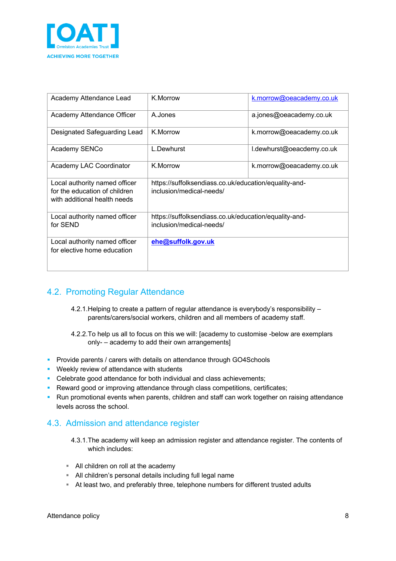

| Academy Attendance Lead                                                                        | K.Morrow                                                                          | k.morrow@oeacademy.co.uk  |  |
|------------------------------------------------------------------------------------------------|-----------------------------------------------------------------------------------|---------------------------|--|
| Academy Attendance Officer                                                                     | A.Jones                                                                           | a.jones@oeacademy.co.uk   |  |
| Designated Safeguarding Lead                                                                   | K.Morrow                                                                          | k.morrow@oeacademy.co.uk  |  |
| Academy SENCo                                                                                  | L.Dewhurst                                                                        | l.dewhurst@oeacdemy.co.uk |  |
| Academy LAC Coordinator                                                                        | K.Morrow                                                                          | k.morrow@oeacademy.co.uk  |  |
| Local authority named officer<br>for the education of children<br>with additional health needs | https://suffolksendiass.co.uk/education/equality-and-<br>inclusion/medical-needs/ |                           |  |
| Local authority named officer<br>for SEND                                                      | https://suffolksendiass.co.uk/education/equality-and-<br>inclusion/medical-needs/ |                           |  |
| Local authority named officer<br>for elective home education                                   | ehe@suffolk.gov.uk                                                                |                           |  |

### 4.2. Promoting Regular Attendance

- 4.2.1.Helping to create a pattern of regular attendance is everybody's responsibility parents/carers/social workers, children and all members of academy staff.
- 4.2.2.To help us all to focus on this we will: [academy to customise -below are exemplars only- – academy to add their own arrangements]
- § Provide parents / carers with details on attendance through GO4Schools
- Weekly review of attendance with students
- Celebrate good attendance for both individual and class achievements;
- Reward good or improving attendance through class competitions, certificates;
- Run promotional events when parents, children and staff can work together on raising attendance levels across the school.

### 4.3. Admission and attendance register

- 4.3.1.The academy will keep an admission register and attendance register. The contents of which includes:
- All children on roll at the academy
- All children's personal details including full legal name
- At least two, and preferably three, telephone numbers for different trusted adults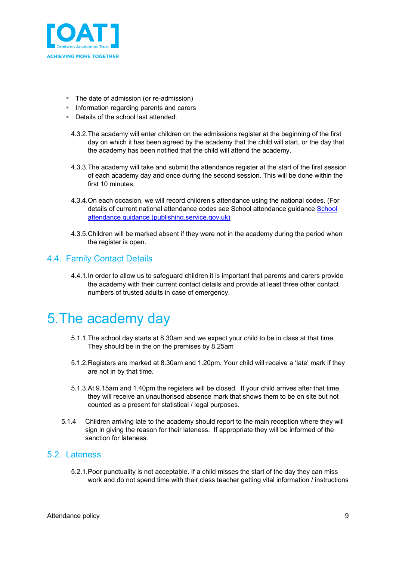

- The date of admission (or re-admission)
- Information regarding parents and carers
- Details of the school last attended.
- 4.3.2.The academy will enter children on the admissions register at the beginning of the first day on which it has been agreed by the academy that the child will start, or the day that the academy has been notified that the child will attend the academy.
- 4.3.3.The academy will take and submit the attendance register at the start of the first session of each academy day and once during the second session. This will be done within the first 10 minutes.
- 4.3.4.On each occasion, we will record children's attendance using the national codes. (For details of current national attendance codes see School attendance guidance School attendance guidance (publishing.service.gov.uk)
- 4.3.5.Children will be marked absent if they were not in the academy during the period when the register is open.

### 4.4. Family Contact Details

4.4.1.In order to allow us to safeguard children it is important that parents and carers provide the academy with their current contact details and provide at least three other contact numbers of trusted adults in case of emergency.

## 5.The academy day

- 5.1.1.The school day starts at 8.30am and we expect your child to be in class at that time. They should be in the on the premises by 8.25am
- 5.1.2.Registers are marked at 8.30am and 1.20pm. Your child will receive a 'late' mark if they are not in by that time.
- 5.1.3.At 9.15am and 1.40pm the registers will be closed. If your child arrives after that time, they will receive an unauthorised absence mark that shows them to be on site but not counted as a present for statistical / legal purposes.
- 5.1.4 Children arriving late to the academy should report to the main reception where they will sign in giving the reason for their lateness. If appropriate they will be informed of the sanction for lateness.

#### 5.2. Lateness

5.2.1.Poor punctuality is not acceptable. If a child misses the start of the day they can miss work and do not spend time with their class teacher getting vital information / instructions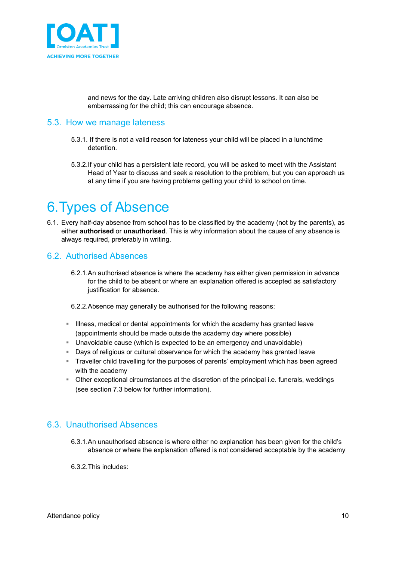

and news for the day. Late arriving children also disrupt lessons. It can also be embarrassing for the child; this can encourage absence.

### 5.3. How we manage lateness

- 5.3.1. If there is not a valid reason for lateness your child will be placed in a lunchtime detention.
- 5.3.2.If your child has a persistent late record, you will be asked to meet with the Assistant Head of Year to discuss and seek a resolution to the problem, but you can approach us at any time if you are having problems getting your child to school on time.

## 6.Types of Absence

6.1. Every half-day absence from school has to be classified by the academy (not by the parents), as either **authorised** or **unauthorised**. This is why information about the cause of any absence is always required, preferably in writing.

#### 6.2. Authorised Absences

6.2.1.An authorised absence is where the academy has either given permission in advance for the child to be absent or where an explanation offered is accepted as satisfactory justification for absence.

6.2.2.Absence may generally be authorised for the following reasons:

- § Illness, medical or dental appointments for which the academy has granted leave (appointments should be made outside the academy day where possible)
- § Unavoidable cause (which is expected to be an emergency and unavoidable)
- § Days of religious or cultural observance for which the academy has granted leave
- § Traveller child travelling for the purposes of parents' employment which has been agreed with the academy
- § Other exceptional circumstances at the discretion of the principal i.e. funerals, weddings (see section 7.3 below for further information).

### 6.3. Unauthorised Absences

- 6.3.1.An unauthorised absence is where either no explanation has been given for the child's absence or where the explanation offered is not considered acceptable by the academy
- 6.3.2.This includes: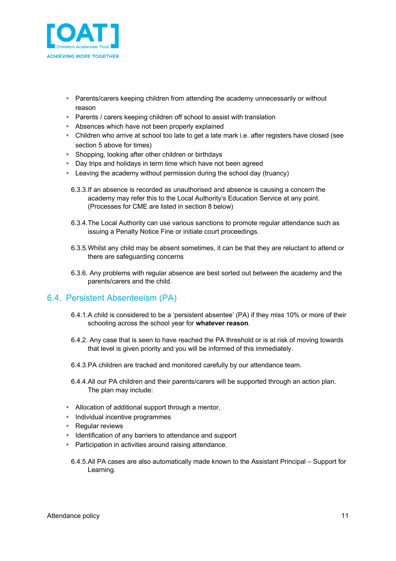

- **Parents/carers keeping children from attending the academy unnecessarily or without** reason
- Parents / carers keeping children off school to assist with translation
- § Absences which have not been properly explained
- § Children who arrive at school too late to get a late mark i.e. after registers have closed (see section 5 above for times)
- Shopping, looking after other children or birthdays
- Day trips and holidays in term time which have not been agreed
- Leaving the academy without permission during the school day (truancy)
	- 6.3.3.If an absence is recorded as unauthorised and absence is causing a concern the academy may refer this to the Local Authority's Education Service at any point. (Processes for CME are listed in section 8 below)
	- 6.3.4.The Local Authority can use various sanctions to promote regular attendance such as issuing a Penalty Notice Fine or initiate court proceedings.
	- 6.3.5.Whilst any child may be absent sometimes, it can be that they are reluctant to attend or there are safeguarding concerns
	- 6.3.6. Any problems with regular absence are best sorted out between the academy and the parents/carers and the child.

#### 6.4. Persistent Absenteeism (PA)

- 6.4.1.A child is considered to be a 'persistent absentee' (PA) if they miss 10% or more of their schooling across the school year for **whatever reason**.
- 6.4.2. Any case that is seen to have reached the PA threshold or is at risk of moving towards that level is given priority and you will be informed of this immediately.
- 6.4.3.PA children are tracked and monitored carefully by our attendance team.
- 6.4.4.All our PA children and their parents/carers will be supported through an action plan. The plan may include:
- Allocation of additional support through a mentor,
- Individual incentive programmes
- Regular reviews
- Identification of any barriers to attendance and support
- Participation in activities around raising attendance.
	- 6.4.5.All PA cases are also automatically made known to the Assistant Principal Support for Learning.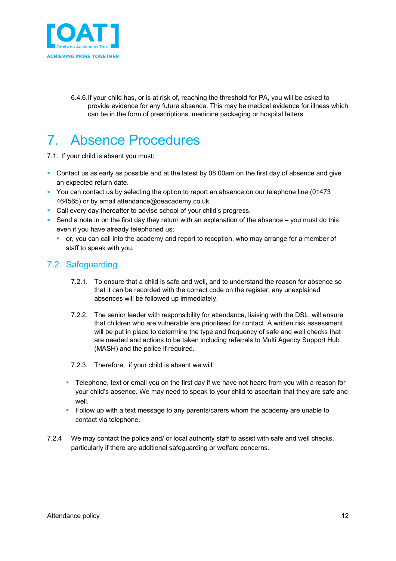

6.4.6.If your child has, or is at risk of, reaching the threshold for PA, you will be asked to provide evidence for any future absence. This may be medical evidence for illness which can be in the form of prescriptions, medicine packaging or hospital letters.

## 7. Absence Procedures

7.1. If your child is absent you must:

- Contact us as early as possible and at the latest by 08.00am on the first day of absence and give an expected return date.
- § You can contact us by selecting the option to report an absence on our telephone line (01473 464565) or by email attendance@oeacademy.co.uk
- Call every day thereafter to advise school of your child's progress.
- Send a note in on the first day they return with an explanation of the absence you must do this even if you have already telephoned us;
	- § or, you can call into the academy and report to reception, who may arrange for a member of staff to speak with you.

### 7.2. Safeguarding

- 7.2.1. To ensure that a child is safe and well, and to understand the reason for absence so that it can be recorded with the correct code on the register, any unexplained absences will be followed up immediately.
- 7.2.2. The senior leader with responsibility for attendance, liaising with the DSL, will ensure that children who are vulnerable are prioritised for contact. A written risk assessment will be put in place to determine the type and frequency of safe and well checks that are needed and actions to be taken including referrals to Multi Agency Support Hub (MASH) and the police if required.
- 7.2.3. Therefore, if your child is absent we will:
- Telephone, text or email you on the first day if we have not heard from you with a reason for your child's absence. We may need to speak to your child to ascertain that they are safe and well.
- § Follow up with a text message to any parents/carers whom the academy are unable to contact via telephone.
- 7.2.4 We may contact the police and/ or local authority staff to assist with safe and well checks, particularly if there are additional safeguarding or welfare concerns.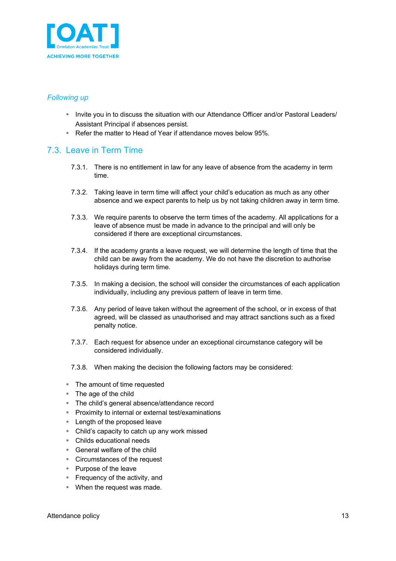

#### *Following up*

- Invite you in to discuss the situation with our Attendance Officer and/or Pastoral Leaders/ Assistant Principal if absences persist.
- Refer the matter to Head of Year if attendance moves below 95%.

### 7.3. Leave in Term Time

- 7.3.1. There is no entitlement in law for any leave of absence from the academy in term time.
- 7.3.2. Taking leave in term time will affect your child's education as much as any other absence and we expect parents to help us by not taking children away in term time.
- 7.3.3. We require parents to observe the term times of the academy. All applications for a leave of absence must be made in advance to the principal and will only be considered if there are exceptional circumstances.
- 7.3.4. If the academy grants a leave request, we will determine the length of time that the child can be away from the academy. We do not have the discretion to authorise holidays during term time.
- 7.3.5. In making a decision, the school will consider the circumstances of each application individually, including any previous pattern of leave in term time.
- 7.3.6. Any period of leave taken without the agreement of the school, or in excess of that agreed, will be classed as unauthorised and may attract sanctions such as a fixed penalty notice.
- 7.3.7. Each request for absence under an exceptional circumstance category will be considered individually.
- 7.3.8. When making the decision the following factors may be considered:
- The amount of time requested
- The age of the child
- The child's general absence/attendance record
- Proximity to internal or external test/examinations
- Length of the proposed leave
- Child's capacity to catch up any work missed
- Childs educational needs
- General welfare of the child
- Circumstances of the request
- Purpose of the leave
- Frequency of the activity, and
- When the request was made.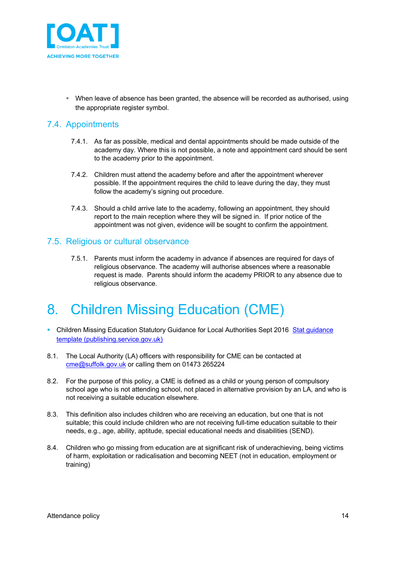

§ When leave of absence has been granted, the absence will be recorded as authorised, using the appropriate register symbol.

### 7.4. Appointments

- 7.4.1. As far as possible, medical and dental appointments should be made outside of the academy day. Where this is not possible, a note and appointment card should be sent to the academy prior to the appointment.
- 7.4.2. Children must attend the academy before and after the appointment wherever possible. If the appointment requires the child to leave during the day, they must follow the academy's signing out procedure.
- 7.4.3. Should a child arrive late to the academy, following an appointment, they should report to the main reception where they will be signed in. If prior notice of the appointment was not given, evidence will be sought to confirm the appointment.

### 7.5. Religious or cultural observance

7.5.1. Parents must inform the academy in advance if absences are required for days of religious observance. The academy will authorise absences where a reasonable request is made. Parents should inform the academy PRIOR to any absence due to religious observance.

## 8. Children Missing Education (CME)

- Children Missing Education Statutory Guidance for Local Authorities Sept 2016 Stat guidance template (publishing.service.gov.uk)
- 8.1. The Local Authority (LA) officers with responsibility for CME can be contacted at cme@suffolk.gov.uk or calling them on 01473 265224
- 8.2. For the purpose of this policy, a CME is defined as a child or young person of compulsory school age who is not attending school, not placed in alternative provision by an LA, and who is not receiving a suitable education elsewhere.
- 8.3. This definition also includes children who are receiving an education, but one that is not suitable; this could include children who are not receiving full-time education suitable to their needs, e.g., age, ability, aptitude, special educational needs and disabilities (SEND).
- 8.4. Children who go missing from education are at significant risk of underachieving, being victims of harm, exploitation or radicalisation and becoming NEET (not in education, employment or training)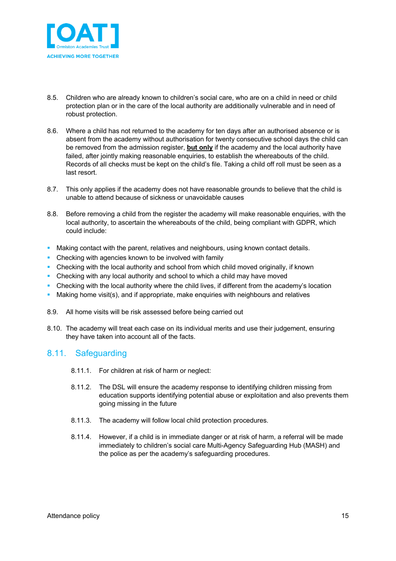

- 8.5. Children who are already known to children's social care, who are on a child in need or child protection plan or in the care of the local authority are additionally vulnerable and in need of robust protection.
- 8.6. Where a child has not returned to the academy for ten days after an authorised absence or is absent from the academy without authorisation for twenty consecutive school days the child can be removed from the admission register, **but only** if the academy and the local authority have failed, after jointly making reasonable enquiries, to establish the whereabouts of the child. Records of all checks must be kept on the child's file. Taking a child off roll must be seen as a last resort.
- 8.7. This only applies if the academy does not have reasonable grounds to believe that the child is unable to attend because of sickness or unavoidable causes
- 8.8. Before removing a child from the register the academy will make reasonable enquiries, with the local authority, to ascertain the whereabouts of the child, being compliant with GDPR, which could include:
- **Making contact with the parent, relatives and neighbours, using known contact details.**
- Checking with agencies known to be involved with family
- Checking with the local authority and school from which child moved originally, if known
- Checking with any local authority and school to which a child may have moved
- Checking with the local authority where the child lives, if different from the academy's location
- Making home visit(s), and if appropriate, make enquiries with neighbours and relatives
- 8.9. All home visits will be risk assessed before being carried out
- 8.10. The academy will treat each case on its individual merits and use their judgement, ensuring they have taken into account all of the facts.

#### 8.11. Safeguarding

- 8.11.1. For children at risk of harm or neglect:
- 8.11.2. The DSL will ensure the academy response to identifying children missing from education supports identifying potential abuse or exploitation and also prevents them going missing in the future
- 8.11.3. The academy will follow local child protection procedures.
- 8.11.4. However, if a child is in immediate danger or at risk of harm, a referral will be made immediately to children's social care Multi-Agency Safeguarding Hub (MASH) and the police as per the academy's safeguarding procedures.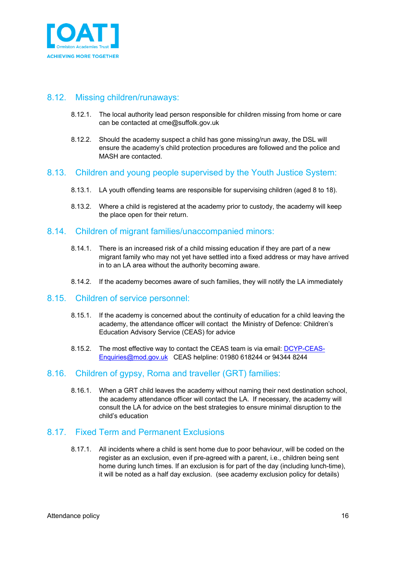

### 8.12. Missing children/runaways:

- 8.12.1. The local authority lead person responsible for children missing from home or care can be contacted at cme@suffolk.gov.uk
- 8.12.2. Should the academy suspect a child has gone missing/run away, the DSL will ensure the academy's child protection procedures are followed and the police and MASH are contacted.

#### 8.13. Children and young people supervised by the Youth Justice System:

- 8.13.1. LA youth offending teams are responsible for supervising children (aged 8 to 18).
- 8.13.2. Where a child is registered at the academy prior to custody, the academy will keep the place open for their return.

#### 8.14. Children of migrant families/unaccompanied minors:

- 8.14.1. There is an increased risk of a child missing education if they are part of a new migrant family who may not yet have settled into a fixed address or may have arrived in to an LA area without the authority becoming aware.
- 8.14.2. If the academy becomes aware of such families, they will notify the LA immediately

#### 8.15. Children of service personnel:

- 8.15.1. If the academy is concerned about the continuity of education for a child leaving the academy, the attendance officer will contact the Ministry of Defence: Children's Education Advisory Service (CEAS) for advice
- 8.15.2. The most effective way to contact the CEAS team is via email: **DCYP-CEAS-**Enquiries@mod.gov.uk CEAS helpline: 01980 618244 or 94344 8244

### 8.16. Children of gypsy, Roma and traveller (GRT) families:

8.16.1. When a GRT child leaves the academy without naming their next destination school, the academy attendance officer will contact the LA. If necessary, the academy will consult the LA for advice on the best strategies to ensure minimal disruption to the child's education

### 8.17. Fixed Term and Permanent Exclusions

8.17.1. All incidents where a child is sent home due to poor behaviour, will be coded on the register as an exclusion, even if pre-agreed with a parent, i.e., children being sent home during lunch times. If an exclusion is for part of the day (including lunch-time), it will be noted as a half day exclusion. (see academy exclusion policy for details)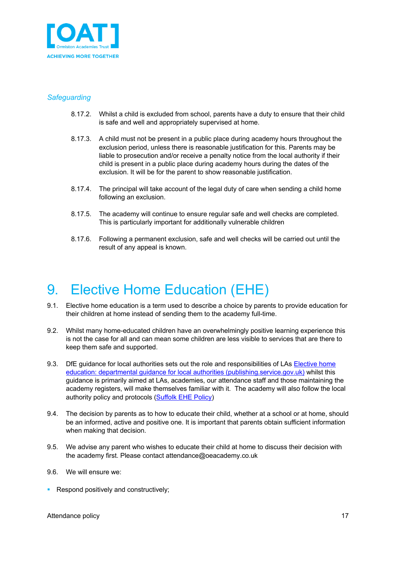

#### *Safeguarding*

- 8.17.2. Whilst a child is excluded from school, parents have a duty to ensure that their child is safe and well and appropriately supervised at home.
- 8.17.3. A child must not be present in a public place during academy hours throughout the exclusion period, unless there is reasonable justification for this. Parents may be liable to prosecution and/or receive a penalty notice from the local authority if their child is present in a public place during academy hours during the dates of the exclusion. It will be for the parent to show reasonable justification.
- 8.17.4. The principal will take account of the legal duty of care when sending a child home following an exclusion.
- 8.17.5. The academy will continue to ensure regular safe and well checks are completed. This is particularly important for additionally vulnerable children
- 8.17.6. Following a permanent exclusion, safe and well checks will be carried out until the result of any appeal is known.

## 9. Elective Home Education (EHE)

- 9.1. Elective home education is a term used to describe a choice by parents to provide education for their children at home instead of sending them to the academy full-time.
- 9.2. Whilst many home-educated children have an overwhelmingly positive learning experience this is not the case for all and can mean some children are less visible to services that are there to keep them safe and supported.
- 9.3. DfE guidance for local authorities sets out the role and responsibilities of LAs Elective home education: departmental guidance for local authorities (publishing.service.gov.uk) whilst this guidance is primarily aimed at LAs, academies, our attendance staff and those maintaining the academy registers, will make themselves familiar with it. The academy will also follow the local authority policy and protocols (Suffolk EHE Policy)
- 9.4. The decision by parents as to how to educate their child, whether at a school or at home, should be an informed, active and positive one. It is important that parents obtain sufficient information when making that decision.
- 9.5. We advise any parent who wishes to educate their child at home to discuss their decision with the academy first. Please contact attendance@oeacademy.co.uk
- 9.6. We will ensure we:
- Respond positively and constructively;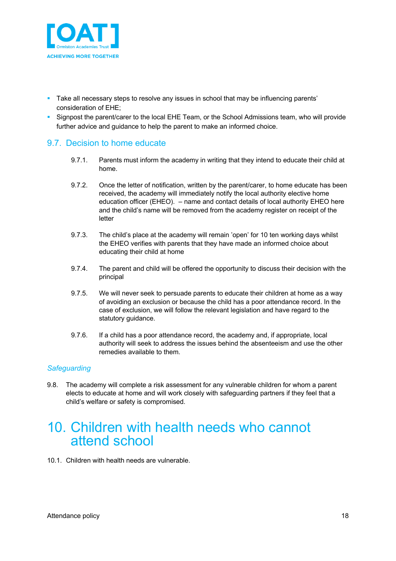

- **•** Take all necessary steps to resolve any issues in school that may be influencing parents' consideration of EHE;
- § Signpost the parent/carer to the local EHE Team, or the School Admissions team, who will provide further advice and guidance to help the parent to make an informed choice.

### 9.7. Decision to home educate

- 9.7.1. Parents must inform the academy in writing that they intend to educate their child at home.
- 9.7.2. Once the letter of notification, written by the parent/carer, to home educate has been received, the academy will immediately notify the local authority elective home education officer (EHEO). – name and contact details of local authority EHEO here and the child's name will be removed from the academy register on receipt of the letter
- 9.7.3. The child's place at the academy will remain 'open' for 10 ten working days whilst the EHEO verifies with parents that they have made an informed choice about educating their child at home
- 9.7.4. The parent and child will be offered the opportunity to discuss their decision with the principal
- 9.7.5. We will never seek to persuade parents to educate their children at home as a way of avoiding an exclusion or because the child has a poor attendance record. In the case of exclusion, we will follow the relevant legislation and have regard to the statutory guidance.
- 9.7.6. If a child has a poor attendance record, the academy and, if appropriate, local authority will seek to address the issues behind the absenteeism and use the other remedies available to them.

#### *Safeguarding*

9.8. The academy will complete a risk assessment for any vulnerable children for whom a parent elects to educate at home and will work closely with safeguarding partners if they feel that a child's welfare or safety is compromised.

### 10. Children with health needs who cannot attend school

10.1. Children with health needs are vulnerable.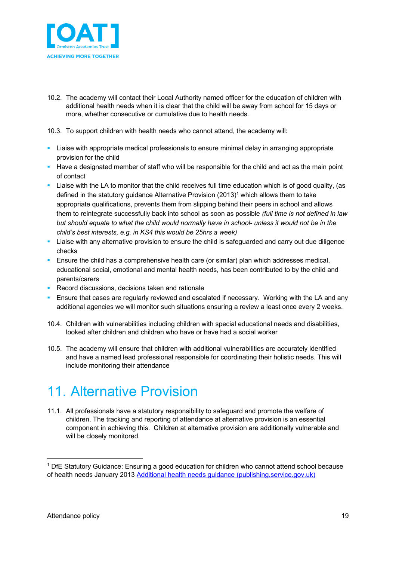

- 10.2. The academy will contact their Local Authority named officer for the education of children with additional health needs when it is clear that the child will be away from school for 15 days or more, whether consecutive or cumulative due to health needs.
- 10.3. To support children with health needs who cannot attend, the academy will:
- **•** Liaise with appropriate medical professionals to ensure minimal delay in arranging appropriate provision for the child
- § Have a designated member of staff who will be responsible for the child and act as the main point of contact
- Liaise with the LA to monitor that the child receives full time education which is of good quality, (as defined in the statutory quidance Alternative Provision  $(2013)^1$  which allows them to take appropriate qualifications, prevents them from slipping behind their peers in school and allows them to reintegrate successfully back into school as soon as possible *(full time is not defined in law but should equate to what the child would normally have in school- unless it would not be in the child's best interests, e.g. in KS4 this would be 25hrs a week)*
- § Liaise with any alternative provision to ensure the child is safeguarded and carry out due diligence checks
- **Ensure the child has a comprehensive health care (or similar) plan which addresses medical,** educational social, emotional and mental health needs, has been contributed to by the child and parents/carers
- Record discussions, decisions taken and rationale
- § Ensure that cases are regularly reviewed and escalated if necessary. Working with the LA and any additional agencies we will monitor such situations ensuring a review a least once every 2 weeks.
- 10.4. Children with vulnerabilities including children with special educational needs and disabilities, looked after children and children who have or have had a social worker
- 10.5. The academy will ensure that children with additional vulnerabilities are accurately identified and have a named lead professional responsible for coordinating their holistic needs. This will include monitoring their attendance

## 11. Alternative Provision

11.1. All professionals have a statutory responsibility to safeguard and promote the welfare of children. The tracking and reporting of attendance at alternative provision is an essential component in achieving this. Children at alternative provision are additionally vulnerable and will be closely monitored.

<sup>1</sup> DfE Statutory Guidance: Ensuring a good education for children who cannot attend school because of health needs January 2013 Additional health needs guidance (publishing.service.gov.uk)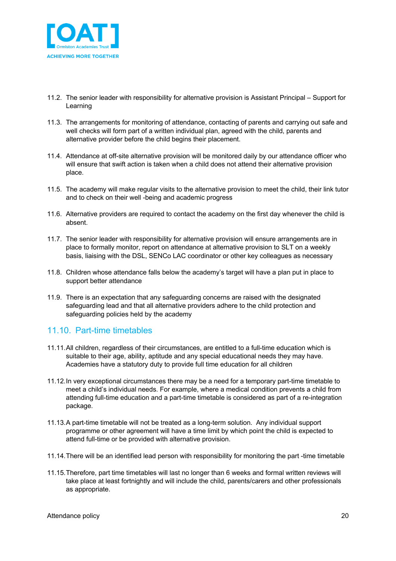

- 11.2. The senior leader with responsibility for alternative provision is Assistant Principal Support for Learning
- 11.3. The arrangements for monitoring of attendance, contacting of parents and carrying out safe and well checks will form part of a written individual plan, agreed with the child, parents and alternative provider before the child begins their placement.
- 11.4. Attendance at off-site alternative provision will be monitored daily by our attendance officer who will ensure that swift action is taken when a child does not attend their alternative provision place.
- 11.5. The academy will make regular visits to the alternative provision to meet the child, their link tutor and to check on their well -being and academic progress
- 11.6. Alternative providers are required to contact the academy on the first day whenever the child is absent.
- 11.7. The senior leader with responsibility for alternative provision will ensure arrangements are in place to formally monitor, report on attendance at alternative provision to SLT on a weekly basis, liaising with the DSL, SENCo LAC coordinator or other key colleagues as necessary
- 11.8. Children whose attendance falls below the academy's target will have a plan put in place to support better attendance
- 11.9. There is an expectation that any safeguarding concerns are raised with the designated safeguarding lead and that all alternative providers adhere to the child protection and safeguarding policies held by the academy

### 11.10. Part-time timetables

- 11.11.All children, regardless of their circumstances, are entitled to a full-time education which is suitable to their age, ability, aptitude and any special educational needs they may have. Academies have a statutory duty to provide full time education for all children
- 11.12.In very exceptional circumstances there may be a need for a temporary part-time timetable to meet a child's individual needs. For example, where a medical condition prevents a child from attending full-time education and a part-time timetable is considered as part of a re-integration package.
- 11.13.A part-time timetable will not be treated as a long-term solution. Any individual support programme or other agreement will have a time limit by which point the child is expected to attend full-time or be provided with alternative provision.
- 11.14.There will be an identified lead person with responsibility for monitoring the part -time timetable
- 11.15.Therefore, part time timetables will last no longer than 6 weeks and formal written reviews will take place at least fortnightly and will include the child, parents/carers and other professionals as appropriate.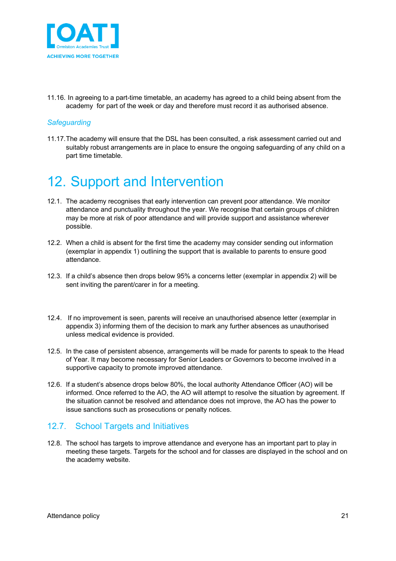

11.16. In agreeing to a part-time timetable, an academy has agreed to a child being absent from the academy for part of the week or day and therefore must record it as authorised absence.

#### *Safeguarding*

11.17.The academy will ensure that the DSL has been consulted, a risk assessment carried out and suitably robust arrangements are in place to ensure the ongoing safeguarding of any child on a part time timetable.

## 12. Support and Intervention

- 12.1. The academy recognises that early intervention can prevent poor attendance. We monitor attendance and punctuality throughout the year. We recognise that certain groups of children may be more at risk of poor attendance and will provide support and assistance wherever possible.
- 12.2. When a child is absent for the first time the academy may consider sending out information (exemplar in appendix 1) outlining the support that is available to parents to ensure good attendance.
- 12.3. If a child's absence then drops below 95% a concerns letter (exemplar in appendix 2) will be sent inviting the parent/carer in for a meeting.
- 12.4. If no improvement is seen, parents will receive an unauthorised absence letter (exemplar in appendix 3) informing them of the decision to mark any further absences as unauthorised unless medical evidence is provided.
- 12.5. In the case of persistent absence, arrangements will be made for parents to speak to the Head of Year. It may become necessary for Senior Leaders or Governors to become involved in a supportive capacity to promote improved attendance.
- 12.6. If a student's absence drops below 80%, the local authority Attendance Officer (AO) will be informed. Once referred to the AO, the AO will attempt to resolve the situation by agreement. If the situation cannot be resolved and attendance does not improve, the AO has the power to issue sanctions such as prosecutions or penalty notices.

### 12.7. School Targets and Initiatives

12.8. The school has targets to improve attendance and everyone has an important part to play in meeting these targets. Targets for the school and for classes are displayed in the school and on the academy website.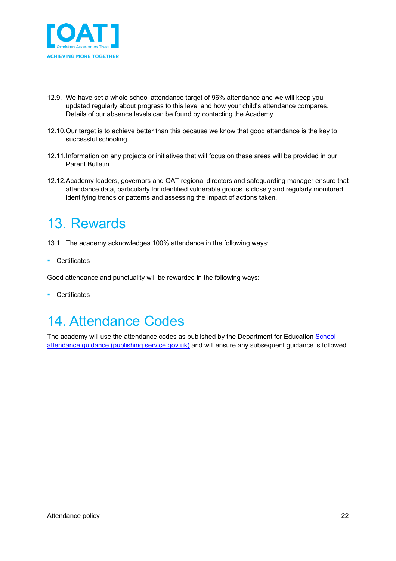

- 12.9. We have set a whole school attendance target of 96% attendance and we will keep you updated regularly about progress to this level and how your child's attendance compares. Details of our absence levels can be found by contacting the Academy.
- 12.10.Our target is to achieve better than this because we know that good attendance is the key to successful schooling
- 12.11.Information on any projects or initiatives that will focus on these areas will be provided in our Parent Bulletin.
- 12.12.Academy leaders, governors and OAT regional directors and safeguarding manager ensure that attendance data, particularly for identified vulnerable groups is closely and regularly monitored identifying trends or patterns and assessing the impact of actions taken.

## 13. Rewards

- 13.1. The academy acknowledges 100% attendance in the following ways:
- Certificates

Good attendance and punctuality will be rewarded in the following ways:

■ Certificates

## 14. Attendance Codes

The academy will use the attendance codes as published by the Department for Education School attendance guidance (publishing.service.gov.uk) and will ensure any subsequent guidance is followed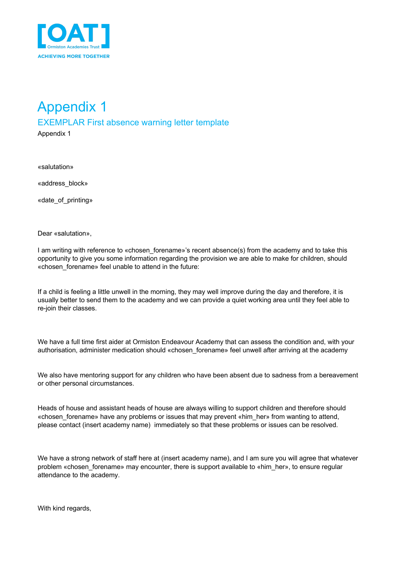

## Appendix 1 EXEMPLAR First absence warning letter template

Appendix 1

«salutation»

«address\_block»

«date\_of\_printing»

Dear «salutation»,

I am writing with reference to «chosen forename»'s recent absence(s) from the academy and to take this opportunity to give you some information regarding the provision we are able to make for children, should «chosen forename» feel unable to attend in the future:

If a child is feeling a little unwell in the morning, they may well improve during the day and therefore, it is usually better to send them to the academy and we can provide a quiet working area until they feel able to re-join their classes.

We have a full time first aider at Ormiston Endeavour Academy that can assess the condition and, with your authorisation, administer medication should «chosen forename» feel unwell after arriving at the academy

We also have mentoring support for any children who have been absent due to sadness from a bereavement or other personal circumstances.

Heads of house and assistant heads of house are always willing to support children and therefore should «chosen forename» have any problems or issues that may prevent «him her» from wanting to attend, please contact (insert academy name) immediately so that these problems or issues can be resolved.

We have a strong network of staff here at (insert academy name), and I am sure you will agree that whatever problem «chosen forename» may encounter, there is support available to «him her», to ensure regular attendance to the academy.

With kind regards,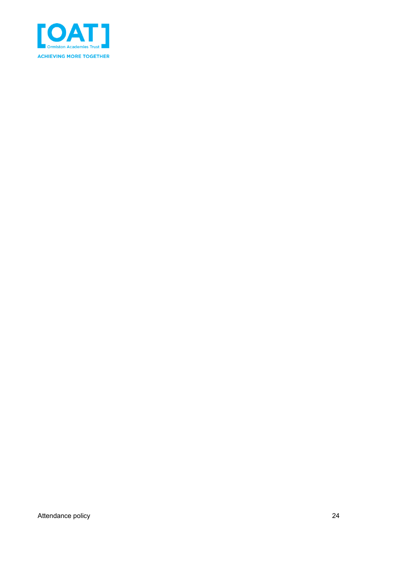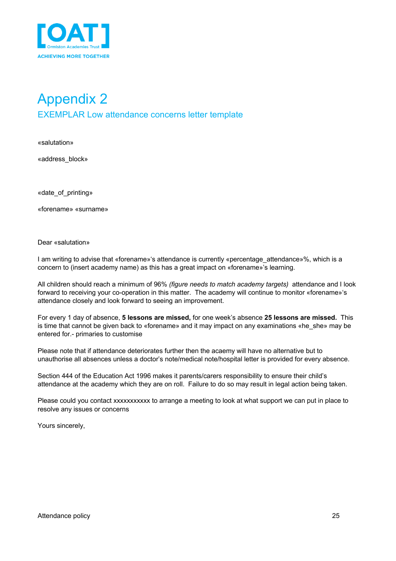

## Appendix 2 EXEMPLAR Low attendance concerns letter template

«salutation»

«address\_block»

«date\_of\_printing»

«forename» «surname»

Dear «salutation»

I am writing to advise that «forename»'s attendance is currently «percentage\_attendance»%, which is a concern to (insert academy name) as this has a great impact on «forename»'s learning.

All children should reach a minimum of 96% *(figure needs to match academy targets)* attendance and I look forward to receiving your co-operation in this matter. The academy will continue to monitor «forename»'s attendance closely and look forward to seeing an improvement.

For every 1 day of absence, **5 lessons are missed,** for one week's absence **25 lessons are missed.** This is time that cannot be given back to «forename» and it may impact on any examinations «he\_she» may be entered for.- primaries to customise

Please note that if attendance deteriorates further then the acaemy will have no alternative but to unauthorise all absences unless a doctor's note/medical note/hospital letter is provided for every absence.

Section 444 of the Education Act 1996 makes it parents/carers responsibility to ensure their child's attendance at the academy which they are on roll. Failure to do so may result in legal action being taken.

Please could you contact xxxxxxxxxx to arrange a meeting to look at what support we can put in place to resolve any issues or concerns

Yours sincerely,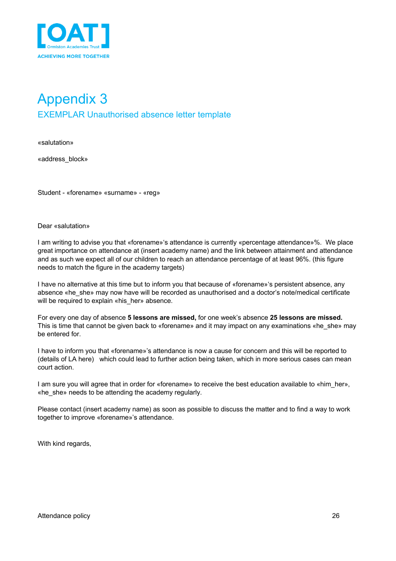

## Appendix 3 EXEMPLAR Unauthorised absence letter template

«salutation»

«address\_block»

Student - «forename» «surname» - «reg»

Dear «salutation»

I am writing to advise you that «forename»'s attendance is currently «percentage attendance»%. We place great importance on attendance at (insert academy name) and the link between attainment and attendance and as such we expect all of our children to reach an attendance percentage of at least 96%. (this figure needs to match the figure in the academy targets)

I have no alternative at this time but to inform you that because of «forename»'s persistent absence, any absence «he\_she» may now have will be recorded as unauthorised and a doctor's note/medical certificate will be required to explain «his her» absence.

For every one day of absence **5 lessons are missed,** for one week's absence **25 lessons are missed.** This is time that cannot be given back to «forename» and it may impact on any examinations «he\_she» may be entered for.

I have to inform you that «forename»'s attendance is now a cause for concern and this will be reported to (details of LA here) which could lead to further action being taken, which in more serious cases can mean court action.

I am sure you will agree that in order for «forename» to receive the best education available to «him\_her», «he\_she» needs to be attending the academy regularly.

Please contact (insert academy name) as soon as possible to discuss the matter and to find a way to work together to improve «forename»'s attendance.

With kind regards.